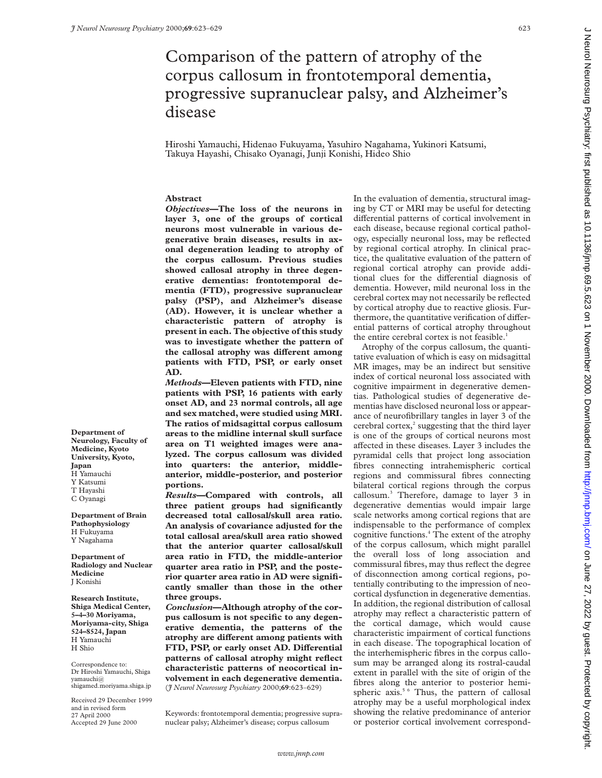# Comparison of the pattern of atrophy of the corpus callosum in frontotemporal dementia, progressive supranuclear palsy, and Alzheimer's disease

Hiroshi Yamauchi, Hidenao Fukuyama, Yasuhiro Nagahama, Yukinori Katsumi, Takuya Hayashi, Chisako Oyanagi, Junji Konishi, Hideo Shio

## **Abstract**

*Objectives***—The loss of the neurons in layer 3, one of the groups of cortical neurons most vulnerable in various degenerative brain diseases, results in axonal degeneration leading to atrophy of the corpus callosum. Previous studies showed callosal atrophy in three degenerative dementias: frontotemporal dementia (FTD), progressive supranuclear palsy (PSP), and Alzheimer's disease (AD). However, it is unclear whether a characteristic pattern of atrophy is present in each. The objective of this study was to investigate whether the pattern of** the callosal atrophy was different among **patients with FTD, PSP, or early onset AD.**

*Methods***—Eleven patients with FTD, nine patients with PSP, 16 patients with early onset AD, and 23 normal controls, all age and sex matched, were studied using MRI. The ratios of midsagittal corpus callosum areas to the midline internal skull surface area on T1 weighted images were analyzed. The corpus callosum was divided into quarters: the anterior, middleanterior, middle-posterior, and posterior portions.**

*Results***—Compared with controls, all three patient groups had significantly decreased total callosal/skull area ratio. An analysis of covariance adjusted for the total callosal area/skull area ratio showed that the anterior quarter callosal/skull area ratio in FTD, the middle-anterior quarter area ratio in PSP, and the posterior quarter area ratio in AD were significantly smaller than those in the other three groups.**

*Conclusion***—Although atrophy of the corpus callosum is not specific to any degenerative dementia, the patterns of the** atrophy are different among patients with FTD, PSP, or early onset AD. Differential **patterns of callosal atrophy might reflect characteristic patterns of neocortical involvement in each degenerative dementia.** (*J Neurol Neurosurg Psychiatry* 2000;**69**:623–629)

Keywords: frontotemporal dementia; progressive supranuclear palsy; Alzheimer's disease; corpus callosum

In the evaluation of dementia, structural imaging by CT or MRI may be useful for detecting differential patterns of cortical involvement in each disease, because regional cortical pathology, especially neuronal loss, may be reflected by regional cortical atrophy. In clinical practice, the qualitative evaluation of the pattern of regional cortical atrophy can provide additional clues for the differential diagnosis of dementia. However, mild neuronal loss in the cerebral cortex may not necessarily be reflected by cortical atrophy due to reactive gliosis. Furthermore, the quantitative verification of differential patterns of cortical atrophy throughout the entire cerebral cortex is not feasible.<sup>1</sup>

Atrophy of the corpus callosum, the quantitative evaluation of which is easy on midsagittal MR images, may be an indirect but sensitive index of cortical neuronal loss associated with cognitive impairment in degenerative dementias. Pathological studies of degenerative dementias have disclosed neuronal loss or appearance of neurofibrillary tangles in layer 3 of the cerebral cortex,<sup>2</sup> suggesting that the third layer is one of the groups of cortical neurons most affected in these diseases. Layer 3 includes the pyramidal cells that project long association fibres connecting intrahemispheric cortical regions and commissural fibres connecting bilateral cortical regions through the corpus callosum.3 Therefore, damage to layer 3 in degenerative dementias would impair large scale networks among cortical regions that are indispensable to the performance of complex cognitive functions.4 The extent of the atrophy of the corpus callosum, which might parallel the overall loss of long association and commissural fibres, may thus reflect the degree of disconnection among cortical regions, potentially contributing to the impression of neocortical dysfunction in degenerative dementias. In addition, the regional distribution of callosal atrophy may reflect a characteristic pattern of the cortical damage, which would cause characteristic impairment of cortical functions in each disease. The topographical location of the interhemispheric fibres in the corpus callosum may be arranged along its rostral-caudal extent in parallel with the site of origin of the fibres along the anterior to posterior hemispheric axis.<sup>5 6</sup> Thus, the pattern of callosal atrophy may be a useful morphological index showing the relative predominance of anterior or posterior cortical involvement correspond-

**Department of Neurology, Faculty of Medicine, Kyoto University, Kyoto, Japan** H Yamauchi Y Katsumi T Hayashi C Oyanagi

**Department of Brain Pathophysiology** H Fukuyama Y Nagahama

**Department of Radiology and Nuclear Medicine** J Konishi

**Research Institute, Shiga Medical Center, 5–4–30 Moriyama, Moriyama-city, Shiga 524–8524, Japan** H Yamauchi H Shio

Correspondence to: Dr Hiroshi Yamauchi, Shiga yamauchi@ shigamed.moriyama.shiga.jp

Received 29 December 1999 and in revised form 27 April 2000 Accepted 29 June 2000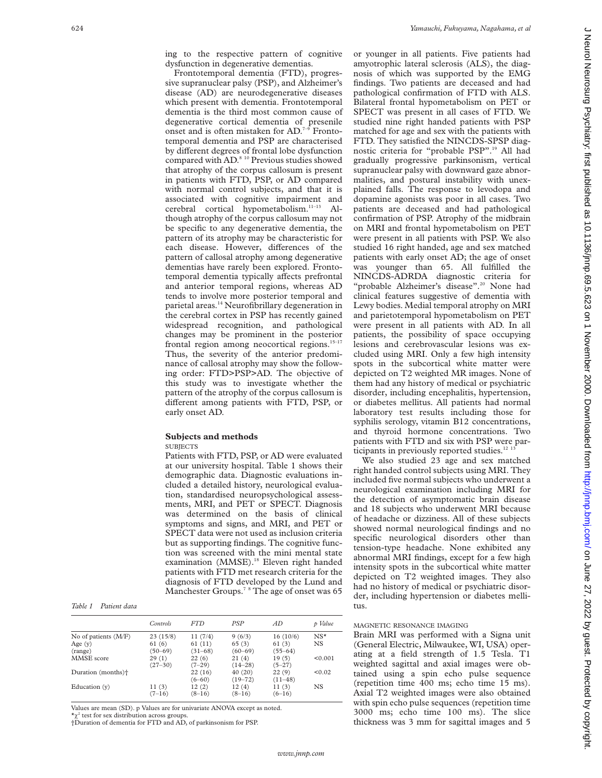ing to the respective pattern of cognitive dysfunction in degenerative dementias.

Frontotemporal dementia (FTD), progressive supranuclear palsy (PSP), and Alzheimer's disease (AD) are neurodegenerative diseases which present with dementia. Frontotemporal dementia is the third most common cause of degenerative cortical dementia of presenile onset and is often mistaken for AD.<sup>7-9</sup> Frontotemporal dementia and PSP are characterised by different degrees of frontal lobe dysfunction compared with AD.8 10 Previous studies showed that atrophy of the corpus callosum is present in patients with FTD, PSP, or AD compared with normal control subjects, and that it is associated with cognitive impairment and cerebral cortical hypometabolism.<sup>11-13</sup> Although atrophy of the corpus callosum may not be specific to any degenerative dementia, the pattern of its atrophy may be characteristic for each disease. However, differences of the pattern of callosal atrophy among degenerative dementias have rarely been explored. Frontotemporal dementia typically affects prefrontal and anterior temporal regions, whereas AD tends to involve more posterior temporal and parietal areas.14 Neurofibrillary degeneration in the cerebral cortex in PSP has recently gained widespread recognition, and pathological changes may be prominent in the posterior frontal region among neocortical regions. $15-17$ Thus, the severity of the anterior predominance of callosal atrophy may show the following order: FTD>PSP>AD. The objective of this study was to investigate whether the pattern of the atrophy of the corpus callosum is different among patients with FTD, PSP, or early onset AD.

## **Subjects and methods**

**SUBJECTS** 

Patients with FTD, PSP, or AD were evaluated at our university hospital. Table 1 shows their demographic data. Diagnostic evaluations included a detailed history, neurological evaluation, standardised neuropsychological assessments, MRI, and PET or SPECT. Diagnosis was determined on the basis of clinical symptoms and signs, and MRI, and PET or SPECT data were not used as inclusion criteria but as supporting findings. The cognitive function was screened with the mini mental state examination (MMSE).<sup>18</sup> Eleven right handed patients with FTD met research criteria for the diagnosis of FTD developed by the Lund and Manchester Groups.<sup>78</sup> The age of onset was 65

*Table 1 Patient data*

|                      | Controls    | <i>FTD</i> | PSP         | AD          | Value        |
|----------------------|-------------|------------|-------------|-------------|--------------|
| No of patients (M/F) | 23(15/8)    | 11(7/4)    | 9(6/3)      | 16(10/6)    | $NS^{\star}$ |
| Age $(v)$            | 61 (6)      | 61(11)     | 65(3)       | 61(3)       | <b>NS</b>    |
| (range)              | $(50 - 69)$ | $(31-68)$  | $(60 - 69)$ | $(55 - 64)$ |              |
| MMSE score           | 29(1)       | 22(6)      | 21(4)       | 19(5)       | < 0.001      |
|                      | $(27 - 30)$ | $(7-29)$   | $(14 - 28)$ | $(5 - 27)$  |              |
| Duration (months)†   |             | 22(16)     | 40(20)      | 22(9)       | < 0.02       |
|                      |             | $(6 - 60)$ | $(19-72)$   | $(11 - 48)$ |              |
| Education (v)        | 11(3)       | 12(2)      | 12(4)       | 11(3)       | NS           |
|                      | $(7-16)$    | $(8-16)$   | $(8-16)$    | $(6-16)$    |              |
|                      |             |            |             |             |              |

Values are mean (SD). p Values are for univariate ANOVA except as noted.  $2$  test for sex distribution across groups.

†Duration of dementia for FTD and AD, of parkinsonism for PSP.

or younger in all patients. Five patients had amyotrophic lateral sclerosis (ALS), the diagnosis of which was supported by the EMG findings. Two patients are deceased and had pathological confirmation of FTD with ALS. Bilateral frontal hypometabolism on PET or SPECT was present in all cases of FTD. We studied nine right handed patients with PSP matched for age and sex with the patients with FTD. They satisfied the NINCDS-SPSP diagnostic criteria for "probable PSP".19 All had gradually progressive parkinsonism, vertical supranuclear palsy with downward gaze abnormalities, and postural instability with unexplained falls. The response to levodopa and dopamine agonists was poor in all cases. Two patients are deceased and had pathological confirmation of PSP. Atrophy of the midbrain on MRI and frontal hypometabolism on PET were present in all patients with PSP. We also studied 16 right handed, age and sex matched patients with early onset AD; the age of onset was younger than 65. All fulfilled the NINCDS-ADRDA diagnostic criteria for "probable Alzheimer's disease".<sup>20</sup> None had clinical features suggestive of dementia with Lewy bodies. Medial temporal atrophy on MRI and parietotemporal hypometabolism on PET were present in all patients with AD. In all patients, the possibility of space occupying lesions and cerebrovascular lesions was excluded using MRI. Only a few high intensity spots in the subcortical white matter were

depicted on T2 weighted MR images. None of them had any history of medical or psychiatric disorder, including encephalitis, hypertension, or diabetes mellitus. All patients had normal laboratory test results including those for syphilis serology, vitamin B12 concentrations, and thyroid hormone concentrations. Two patients with FTD and six with PSP were participants in previously reported studies. $12<sup>13</sup>$ We also studied 23 age and sex matched right handed control subjects using MRI. They

included five normal subjects who underwent a neurological examination including MRI for the detection of asymptomatic brain disease and 18 subjects who underwent MRI because of headache or dizziness. All of these subjects showed normal neurological findings and no specific neurological disorders other than tension-type headache. None exhibited any abnormal MRI findings, except for a few high intensity spots in the subcortical white matter depicted on T2 weighted images. They also had no history of medical or psychiatric disorder, including hypertension or diabetes mellitus.

#### MAGNETIC RESONANCE IMAGING

Brain MRI was performed with a Signa unit (General Electric, Milwaukee, WI, USA) operating at a field strength of 1.5 Tesla. T1 weighted sagittal and axial images were obtained using a spin echo pulse sequence (repetition time 400 ms; echo time 15 ms). Axial T2 weighted images were also obtained with spin echo pulse sequences (repetition time 3000 ms; echo time 100 ms). The slice thickness was 3 mm for sagittal images and 5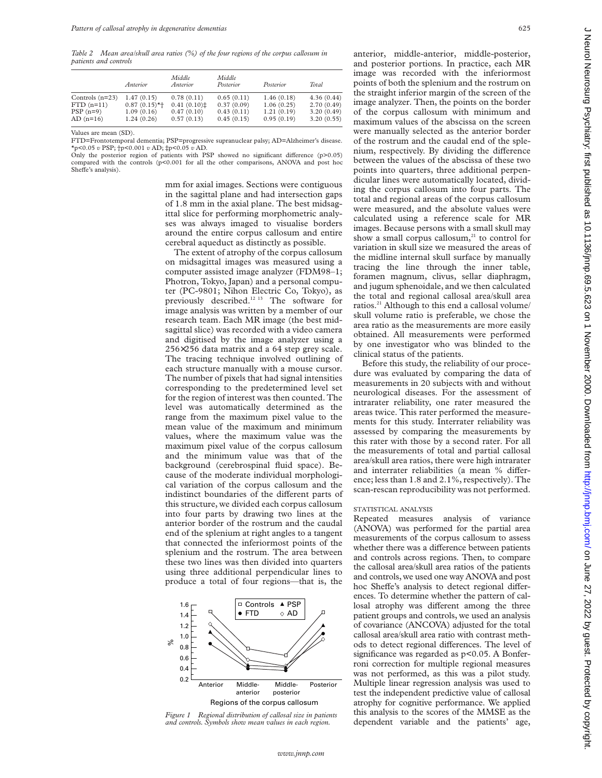*Table 2 Mean area/skull area ratios (%) of the four regions of the corpus callosum in patients and controls*

|                   | Anterior        | Middle<br>Anterior | Middle<br>Posterior | Posterior  | <b>Total</b> |
|-------------------|-----------------|--------------------|---------------------|------------|--------------|
| Controls $(n=23)$ | 1.47(0.15)      | 0.78(0.11)         | 0.65(0.11)          | 1.46(0.18) | 4.36(0.44)   |
| $FTD(n=11)$       | $0.87(0.15)$ *† | 0.41(0.10)         | 0.37(0.09)          | 1.06(0.25) | 2.70(0.49)   |
| $PSP(n=9)$        | 1.09(0.16)      | 0.47(0.10)         | 0.43(0.11)          | 1.21(0.19) | 3.20(0.49)   |
| AD $(n=16)$       | 1.24(0.26)      | 0.57(0.13)         | 0.45(0.15)          | 0.95(0.19) | 3.20(0.55)   |

#### Values are mean (SD).

FTD=Frontotemporal dementia; PSP=progressive supranuclear palsy; AD=Alzheimer's disease. \*p<0.05 *v* PSP; †p<0.001 *v* AD; ‡p<0.05 *v* AD.

Only the posterior region of patients with PSP showed no significant difference  $(p>0.05)$ compared with the controls (p<0.001 for all the other comparisons, ANOVA and post hoc Sheffe's analysis).

> mm for axial images. Sections were contiguous in the sagittal plane and had intersection gaps of 1.8 mm in the axial plane. The best midsagittal slice for performing morphometric analyses was always imaged to visualise borders around the entire corpus callosum and entire cerebral aqueduct as distinctly as possible.

> The extent of atrophy of the corpus callosum on midsagittal images was measured using a computer assisted image analyzer (FDM98–1; Photron, Tokyo, Japan) and a personal computer (PC-9801; Nihon Electric Co, Tokyo), as previously described.12 13 The software for image analysis was written by a member of our research team. Each MR image (the best midsagittal slice) was recorded with a video camera and digitised by the image analyzer using a 256×256 data matrix and a 64 step grey scale. The tracing technique involved outlining of each structure manually with a mouse cursor. The number of pixels that had signal intensities corresponding to the predetermined level set for the region of interest was then counted. The level was automatically determined as the range from the maximum pixel value to the mean value of the maximum and minimum values, where the maximum value was the maximum pixel value of the corpus callosum and the minimum value was that of the background (cerebrospinal fluid space). Because of the moderate individual morphological variation of the corpus callosum and the indistinct boundaries of the different parts of this structure, we divided each corpus callosum into four parts by drawing two lines at the anterior border of the rostrum and the caudal end of the splenium at right angles to a tangent that connected the inferiormost points of the splenium and the rostrum. The area between these two lines was then divided into quarters using three additional perpendicular lines to produce a total of four regions—that is, the



*Figure 1 Regional distribution of callosal size in patients and controls. Symbols show mean values in each region.*

anterior, middle-anterior, middle-posterior, and posterior portions. In practice, each MR image was recorded with the inferiormost points of both the splenium and the rostrum on the straight inferior margin of the screen of the image analyzer. Then, the points on the border of the corpus callosum with minimum and maximum values of the abscissa on the screen were manually selected as the anterior border of the rostrum and the caudal end of the splenium, respectively. By dividing the difference between the values of the abscissa of these two points into quarters, three additional perpendicular lines were automatically located, dividing the corpus callosum into four parts. The total and regional areas of the corpus callosum were measured, and the absolute values were calculated using a reference scale for MR images. Because persons with a small skull may show a small corpus callosum,<sup>21</sup> to control for variation in skull size we measured the areas of the midline internal skull surface by manually tracing the line through the inner table, foramen magnum, clivus, sellar diaphragm, and jugum sphenoidale, and we then calculated the total and regional callosal area/skull area ratios.<sup>21</sup> Although to this end a callosal volume/ skull volume ratio is preferable, we chose the area ratio as the measurements are more easily obtained. All measurements were performed by one investigator who was blinded to the clinical status of the patients. *Pattern of callosal atrophy in degenerative dementias* 625

Before this study, the reliability of our procedure was evaluated by comparing the data of measurements in 20 subjects with and without neurological diseases. For the assessment of intrarater reliability, one rater measured the areas twice. This rater performed the measurements for this study. Interrater reliability was assessed by comparing the measurements by this rater with those by a second rater. For all the measurements of total and partial callosal area/skull area ratios, there were high intrarater and interrater reliabilities (a mean % difference; less than 1.8 and 2.1%, respectively). The scan-rescan reproducibility was not performed.

#### STATISTICAL ANALYSIS

Repeated measures analysis of variance (ANOVA) was performed for the partial area measurements of the corpus callosum to assess whether there was a difference between patients and controls across regions. Then, to compare the callosal area/skull area ratios of the patients and controls, we used one way ANOVA and post hoc Sheffe's analysis to detect regional differences. To determine whether the pattern of callosal atrophy was different among the three patient groups and controls, we used an analysis of covariance (ANCOVA) adjusted for the total callosal area/skull area ratio with contrast methods to detect regional differences. The level of significance was regarded as p<0.05. A Bonferroni correction for multiple regional measures was not performed, as this was a pilot study. Multiple linear regression analysis was used to test the independent predictive value of callosal atrophy for cognitive performance. We applied this analysis to the scores of the MMSE as the dependent variable and the patients' age,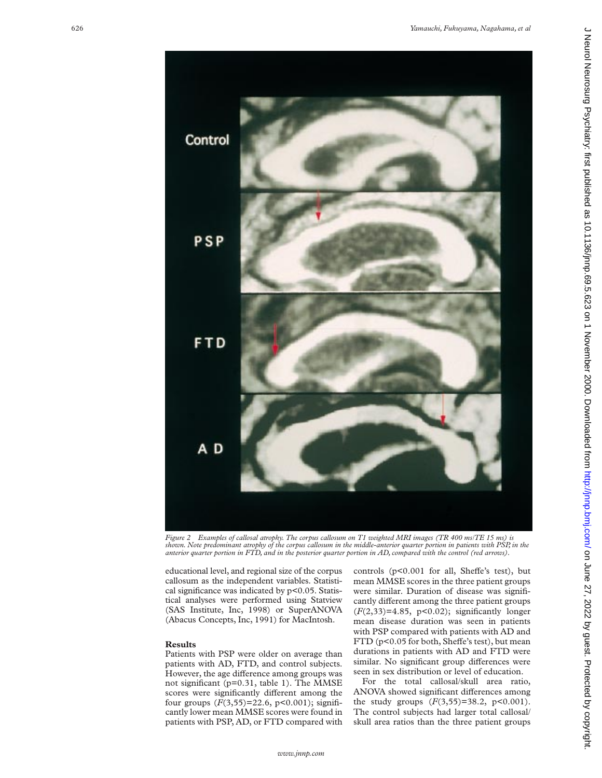

*Figure 2 Examples of callosal atrophy. The corpus callosum on T1 weighted MRI images (TR 400 ms/TE 15 ms) is* shown. Note predominant atrophy of the corpus callosum in the middle-anterior quarter portion in patients with PSP, in the<br>anterior quarter portion in FTD, and in the posterior quarter portion in AD, compared with the cont

educational level, and regional size of the corpus callosum as the independent variables. Statistical significance was indicated by  $p<0.05$ . Statistical analyses were performed using Statview (SAS Institute, Inc, 1998) or SuperANOVA (Abacus Concepts, Inc, 1991) for MacIntosh.

#### **Results**

Patients with PSP were older on average than patients with AD, FTD, and control subjects. However, the age difference among groups was not significant (p=0.31, table 1). The MMSE scores were significantly different among the four groups ( *F*(3,55)=22.6, p<0.001); significantly lower mean MMSE scores were found in patients with PSP, AD, or FTD compared with

controls (p<0.001 for all, Sheffe's test), but mean MMSE scores in the three patient groups were similar. Duration of disease was significantly different among the three patient groups (*F*(2,33)=4.85, p<0.02); significantly longer mean disease duration was seen in patients with PSP compared with patients with AD and FTD (p<0.05 for both, Sheffe's test), but mean durations in patients with AD and FTD were similar. No significant group differences were seen in sex distribution or level of education.

For the total callosal/skull area ratio, ANOVA showed significant differences among the study groups  $(F(3,55)=38.2, p<0.001)$ . The control subjects had larger total callosal/ skull area ratios than the three patient groups J Neurol Neurosurg Psychiatry: first published as 10.1136/jnnp.69.5.623 on 1 November 2000. Downloaded from http://jnnp.bmj.com/ on June 27, 2022 by guest. Protected by copyright Decreta by guest. Protected by copyright. His the constructed by a 10.1136/jnnp.69.5.623 on 1 November 2000. Downloaded from prin.j/jnnp.hunj.com/ Du June 27, 2022 on 1 November 2000. Downloaded from prin.j/jnnp.hunj.com/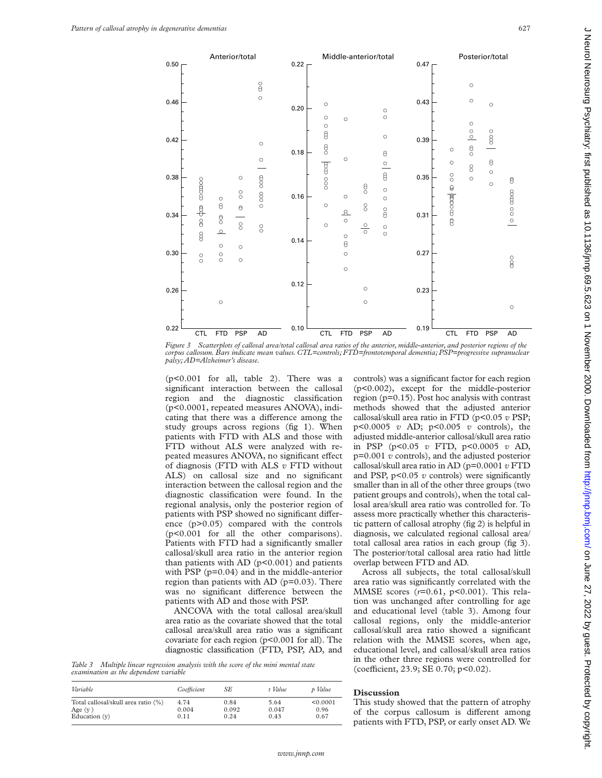

*Figure 3 Scatterplots of callosal area/total callosal area ratios of the anterior, middle-anterior, and posterior regions of the corpus callosum. Bars indicate mean values. CTL=controls; FTD=frontotemporal dementia; PSP=progressive supranuclear palsy; AD=Alzheimer's disease.*

(p<0.001 for all, table 2). There was a significant interaction between the callosal region and the diagnostic classification (p<0.0001, repeated measures ANOVA), indicating that there was a difference among the study groups across regions (fig 1). When patients with FTD with ALS and those with FTD without ALS were analyzed with repeated measures ANOVA, no significant effect of diagnosis (FTD with ALS *v* FTD without ALS) on callosal size and no significant interaction between the callosal region and the diagnostic classification were found. In the regional analysis, only the posterior region of patients with PSP showed no significant difference (p>0.05) compared with the controls (p<0.001 for all the other comparisons). Patients with FTD had a significantly smaller callosal/skull area ratio in the anterior region than patients with AD  $(p<0.001)$  and patients with PSP (p=0.04) and in the middle-anterior region than patients with AD  $(p=0.03)$ . There was no significant difference between the patients with AD and those with PSP.

ANCOVA with the total callosal area/skull area ratio as the covariate showed that the total callosal area/skull area ratio was a significant covariate for each region (p<0.001 for all). The diagnostic classification (FTD, PSP, AD, and

*Table 3 Multiple linear regression analysis with the score of the mini mental state examination as the dependent variable*

| Variable                            | Coefficient | SE    | t Value | p Value  |
|-------------------------------------|-------------|-------|---------|----------|
| Total callosal/skull area ratio (%) | 4.74        | 0.84  | 5.64    | < 0.0001 |
| Age $(y)$                           | 0.004       | 0.092 | 0.047   | 0.96     |
| Education $(v)$                     | 0.11        | 0.24  | 0.43    | 0.67     |

controls) was a significant factor for each region (p<0.002), except for the middle-posterior region (p=0.15). Post hoc analysis with contrast methods showed that the adjusted anterior callosal/skull area ratio in FTD (p<0.05 *v* PSP; p<0.0005 *v* AD; p<0.005 *v* controls), the adjusted middle-anterior callosal/skull area ratio in PSP (p<0.05 *v* FTD, p<0.0005 *v* AD, p=0.001 *v* controls), and the adjusted posterior callosal/skull area ratio in AD (p=0.0001 *v* FTD and PSP, p<0.05 *v* controls) were significantly smaller than in all of the other three groups (two patient groups and controls), when the total callosal area/skull area ratio was controlled for. To assess more practically whether this characteristic pattern of callosal atrophy (fig 2) is helpful in diagnosis, we calculated regional callosal area/ total callosal area ratios in each group (fig 3). The posterior/total callosal area ratio had little overlap between FTD and AD.

Across all subjects, the total callosal/skull area ratio was significantly correlated with the MMSE scores (*r*=0.61, p<0.001). This relation was unchanged after controlling for age and educational level (table 3). Among four callosal regions, only the middle-anterior callosal/skull area ratio showed a significant relation with the MMSE scores, when age, educational level, and callosal/skull area ratios in the other three regions were controlled for (coefficient, 23.9; SE 0.70; p<0.02).

### **Discussion**

This study showed that the pattern of atrophy of the corpus callosum is different among patients with FTD, PSP, or early onset AD. We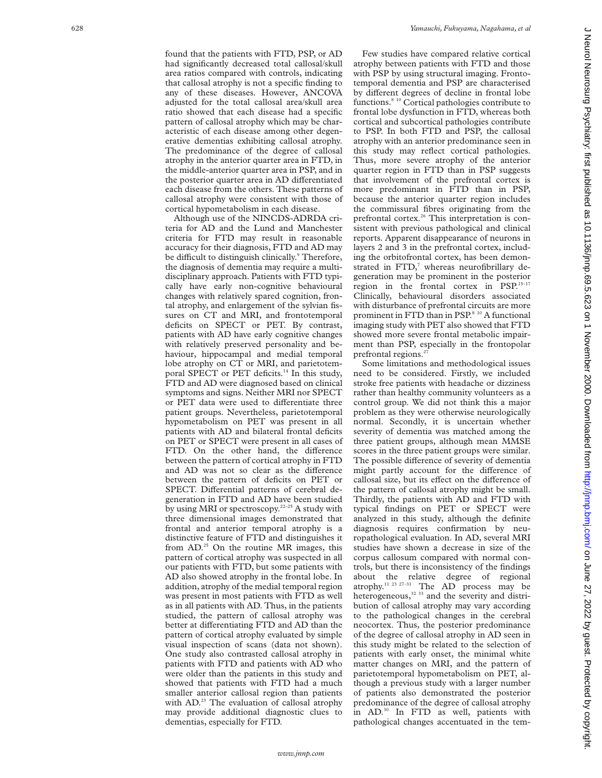found that the patients with FTD, PSP, or AD had significantly decreased total callosal/skull area ratios compared with controls, indicating that callosal atrophy is not a specific finding to any of these diseases. However, ANCOVA adjusted for the total callosal area/skull area ratio showed that each disease had a specific pattern of callosal atrophy which may be characteristic of each disease among other degenerative dementias exhibiting callosal atrophy. The predominance of the degree of callosal atrophy in the anterior quarter area in FTD, in the middle-anterior quarter area in PSP, and in the posterior quarter area in AD differentiated each disease from the others. These patterns of callosal atrophy were consistent with those of cortical hypometabolism in each disease.

Although use of the NINCDS-ADRDA criteria for AD and the Lund and Manchester criteria for FTD may result in reasonable accuracy for their diagnosis, FTD and AD may be difficult to distinguish clinically.<sup>9</sup> Therefore, the diagnosis of dementia may require a multidisciplinary approach. Patients with FTD typically have early non-cognitive behavioural changes with relatively spared cognition, frontal atrophy, and enlargement of the sylvian fissures on CT and MRI, and frontotemporal deficits on SPECT or PET. By contrast, patients with AD have early cognitive changes with relatively preserved personality and behaviour, hippocampal and medial temporal lobe atrophy on CT or MRI, and parietotemporal SPECT or PET deficits.<sup>14</sup> In this study, FTD and AD were diagnosed based on clinical symptoms and signs. Neither MRI nor SPECT or PET data were used to differentiate three patient groups. Nevertheless, parietotemporal hypometabolism on PET was present in all patients with AD and bilateral frontal deficits on PET or SPECT were present in all cases of FTD. On the other hand, the difference between the pattern of cortical atrophy in FTD and AD was not so clear as the difference between the pattern of deficits on PET or SPECT. Differential patterns of cerebral degeneration in FTD and AD have been studied by using MRI or spectroscopy.<sup>22-25</sup> A study with three dimensional images demonstrated that frontal and anterior temporal atrophy is a distinctive feature of FTD and distinguishes it from AD.<sup>25</sup> On the routine MR images, this pattern of cortical atrophy was suspected in all our patients with FTD, but some patients with AD also showed atrophy in the frontal lobe. In addition, atrophy of the medial temporal region was present in most patients with FTD as well as in all patients with AD. Thus, in the patients studied, the pattern of callosal atrophy was better at differentiating FTD and AD than the pattern of cortical atrophy evaluated by simple visual inspection of scans (data not shown). One study also contrasted callosal atrophy in patients with FTD and patients with AD who were older than the patients in this study and showed that patients with FTD had a much smaller anterior callosal region than patients with AD.<sup>23</sup> The evaluation of callosal atrophy may provide additional diagnostic clues to dementias, especially for FTD.

Few studies have compared relative cortical atrophy between patients with FTD and those with PSP by using structural imaging. Frontotemporal dementia and PSP are characterised by different degrees of decline in frontal lobe functions.8 10 Cortical pathologies contribute to frontal lobe dysfunction in FTD, whereas both cortical and subcortical pathologies contribute to PSP. In both FTD and PSP, the callosal atrophy with an anterior predominance seen in this study may reflect cortical pathologies. Thus, more severe atrophy of the anterior quarter region in FTD than in PSP suggests that involvement of the prefrontal cortex is more predominant in FTD than in PSP, because the anterior quarter region includes the commissural fibres originating from the prefrontal cortex.<sup>26</sup> This interpretation is consistent with previous pathological and clinical reports. Apparent disappearance of neurons in layers 2 and 3 in the prefrontal cortex, including the orbitofrontal cortex, has been demonstrated in  $FTD$ ,<sup>7</sup> whereas neurofibrillary degeneration may be prominent in the posterior region in the frontal cortex in PSP.15–17 Clinically, behavioural disorders associated with disturbance of prefrontal circuits are more prominent in FTD than in PSP.<sup>8 10</sup> A functional imaging study with PET also showed that FTD showed more severe frontal metabolic impairment than PSP, especially in the frontopolar prefrontal regions.<sup>27</sup>

Some limitations and methodological issues need to be considered. Firstly, we included stroke free patients with headache or dizziness rather than healthy community volunteers as a control group. We did not think this a major problem as they were otherwise neurologically normal. Secondly, it is uncertain whether severity of dementia was matched among the three patient groups, although mean MMSE scores in the three patient groups were similar. The possible difference of severity of dementia might partly account for the difference of callosal size, but its effect on the difference of the pattern of callosal atrophy might be small. Thirdly, the patients with AD and FTD with typical findings on PET or SPECT were analyzed in this study, although the definite diagnosis requires confirmation by neuropathological evaluation. In AD, several MRI studies have shown a decrease in size of the corpus callosum compared with normal controls, but there is inconsistency of the findings about the relative degree of regional atrophy.<sup>11 23 27-31</sup> The AD process may be heterogeneous, $32 \frac{33}{2}$  and the severity and distribution of callosal atrophy may vary according to the pathological changes in the cerebral neocortex. Thus, the posterior predominance of the degree of callosal atrophy in AD seen in this study might be related to the selection of patients with early onset, the minimal white matter changes on MRI, and the pattern of parietotemporal hypometabolism on PET, although a previous study with a larger number of patients also demonstrated the posterior predominance of the degree of callosal atrophy in AD.30 In FTD as well, patients with pathological changes accentuated in the tem